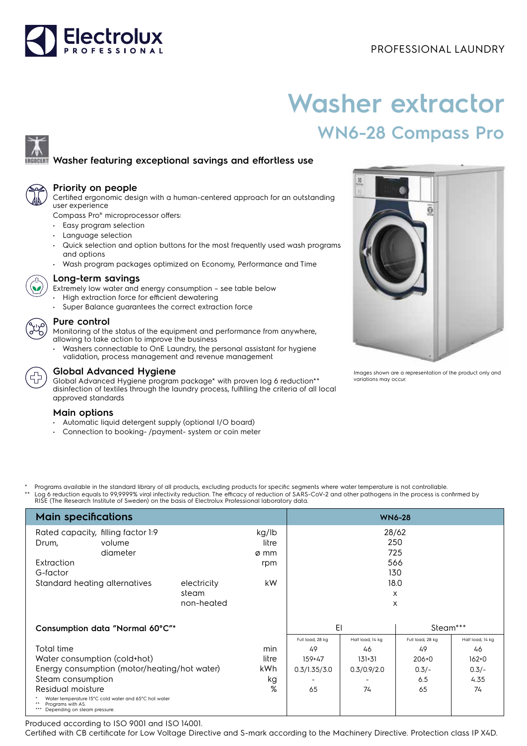# Electrolux

## PROFESSIONAL LAUNDRY

# **Washer extractor WN6-28 Compass Pro**

### **Washer featuring exceptional savings and effortless use**



#### **Priority on people**

Certified ergonomic design with a human-centered approach for an outstanding user experience

Compass Pro® microprocessor offers:

- Easy program selection
- Language selection
- Quick selection and option buttons for the most frequently used wash programs and options
- Wash program packages optimized on Economy, Performance and Time



#### **Long-term savings**

Extremely low water and energy consumption – see table below

- High extraction force for efficient dewatering
- Super Balance guarantees the correct extraction force

#### **Pure control**

Monitoring of the status of the equipment and performance from anywhere, allowing to take action to improve the business

• Washers connectable to OnE Laundry, the personal assistant for hygiene validation, process management and revenue management



#### **Global Advanced Hygiene**

Global Advanced Hygiene program package\* with proven log 6 reduction\*\* disinfection of textiles through the laundry process, fulfilling the criteria of all local approved standards

#### **Main options**

- Automatic liquid detergent supply (optional I/O board)
- Connection to booking- /payment- system or coin meter



Images shown are a representation of the product only and variations may occur.

Programs available in the standard library of all products, excluding products for specific segments where water temperature is not controllable. \*\* Log 6 reduction equals to 99,9999% viral infectivity reduction. The efficacy of reduction of SARS-CoV-2 and other pathogens in the process is confirmed by<br>RISE (The Research Institute of Sweden) on the basis of Electrol

| <b>Main specifications</b>                                                                                                                                                                                                                                | <b>WN6-28</b>                      |                                |                                                            |                                                           |                                                             |                                                              |
|-----------------------------------------------------------------------------------------------------------------------------------------------------------------------------------------------------------------------------------------------------------|------------------------------------|--------------------------------|------------------------------------------------------------|-----------------------------------------------------------|-------------------------------------------------------------|--------------------------------------------------------------|
| Rated capacity, filling factor 1:9<br>volume<br>Drum,                                                                                                                                                                                                     |                                    | kg/lb<br>litre                 | 28/62<br>250<br>725                                        |                                                           |                                                             |                                                              |
| diameter<br>Extraction<br>G-factor                                                                                                                                                                                                                        |                                    | ø mm<br>rpm                    |                                                            |                                                           | 566<br>130                                                  |                                                              |
| Standard heating alternatives                                                                                                                                                                                                                             | electricity<br>steam<br>non-heated | kW.                            |                                                            |                                                           | 18.0<br>$\times$<br>X                                       |                                                              |
| Consumption data "Normal 60°C"*                                                                                                                                                                                                                           |                                    |                                | EI                                                         |                                                           | Steam***                                                    |                                                              |
| Total time<br>Water consumption (cold+hot)<br>Energy consumption (motor/heating/hot water)<br>Steam consumption<br>Residual moisture<br>Water temperature 15°C cold water and 65°C hot water.<br>Programs with AS.<br>***<br>Depending on steam pressure. |                                    | min<br>litre<br>kWh<br>kg<br>% | Full load, 28 kg<br>49<br>$159 + 47$<br>0.3/1.35/3.0<br>65 | Half load, 14 kg<br>46<br>$131 + 31$<br>0.3/0.9/2.0<br>74 | Full load, 28 kg<br>49<br>$206 + 0$<br>$0.3/-$<br>6.5<br>65 | Half load, 14 kg<br>46<br>$162 + 0$<br>$0.3/-$<br>4.35<br>74 |

Produced according to ISO 9001 and ISO 14001.

Certified with CB certificate for Low Voltage Directive and S-mark according to the Machinery Directive. Protection class IP X4D.